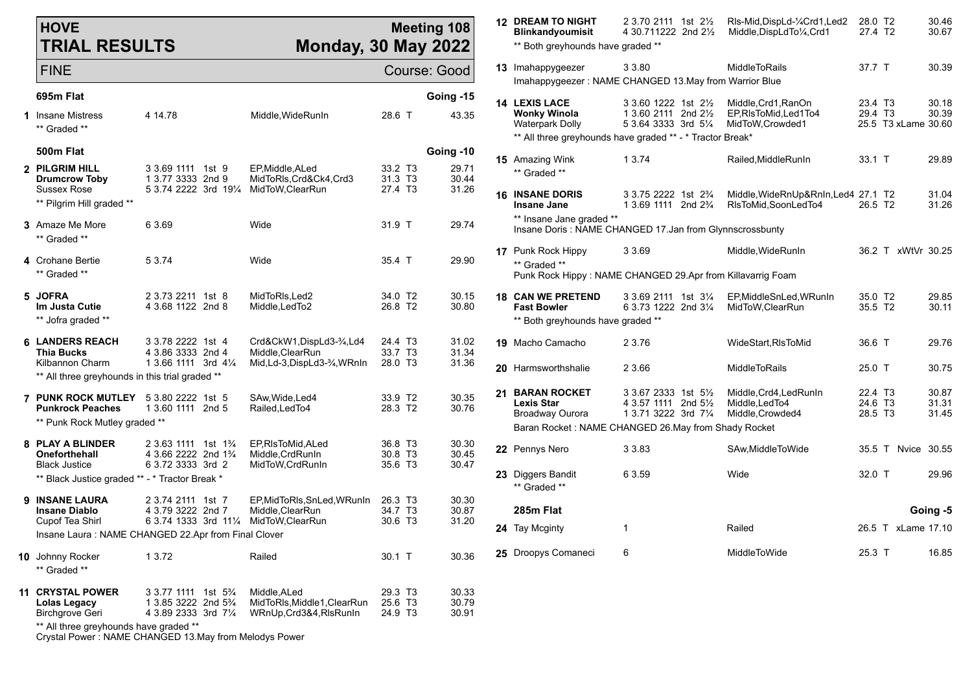| <b>HOVE</b><br><b>TRIAL RESULTS</b>                                                                  |                                                                                                                        | <b>Monday, 30 May 2022</b>                                            |                                                       | <b>Meeting 108</b>          |  | <b>12 DREAM TO NIGHT</b><br><b>Blinkandyoumisit</b><br>** Both greyhounds have graded ** | 2 3.70 2111 1st 21/ <sub>2</sub><br>4 30.711222 2nd 21/2                                       | RIs-Mid, DispLd-1/4Crd1, Led2<br>Middle, DispLdTo1/4, Crd1     | 28.0 T2<br>27.4 T <sub>2</sub>                                    |                     | 30.46<br>30.67          |
|------------------------------------------------------------------------------------------------------|------------------------------------------------------------------------------------------------------------------------|-----------------------------------------------------------------------|-------------------------------------------------------|-----------------------------|--|------------------------------------------------------------------------------------------|------------------------------------------------------------------------------------------------|----------------------------------------------------------------|-------------------------------------------------------------------|---------------------|-------------------------|
| <b>FINE</b>                                                                                          |                                                                                                                        |                                                                       |                                                       | Course: Good                |  | 13 Imahappygeezer                                                                        | 3 3.80<br>Imahappygeezer: NAME CHANGED 13. May from Warrior Blue                               | MiddleToRails                                                  | 37.7 T                                                            |                     | 30.39                   |
| 695m Flat                                                                                            |                                                                                                                        |                                                                       |                                                       | Going -15                   |  | <b>14 LEXIS LACE</b>                                                                     | 3 3.60 1222 1st 21/2                                                                           | Middle, Crd1, RanOn                                            | 23.4 T3                                                           |                     | 30.18                   |
| 1 Insane Mistress<br>** Graded **                                                                    | 4 14.78                                                                                                                | Middle, WideRunIn                                                     | 28.6 T                                                | 43.35                       |  | <b>Wonky Winola</b><br><b>Waterpark Dolly</b>                                            | 1 3.60 2111 2nd 21/ <sub>2</sub><br>5 3.64 3333 3rd 51/4                                       | EP, RIsToMid, Led1To4<br>MidToW, Crowded1                      | 29.4 T3                                                           | 25.5 T3 xLame 30.60 | 30.39                   |
| 500m Flat                                                                                            |                                                                                                                        |                                                                       |                                                       |                             |  |                                                                                          | ** All three greyhounds have graded ** - * Tractor Break*                                      |                                                                |                                                                   |                     |                         |
| 2 PILGRIM HILL<br><b>Drumcrow Toby</b>                                                               | 3 3.69 1111 1st 9<br>1 3.77 3333 2nd 9                                                                                 | EP, Middle, ALed<br>MidToRIs, Crd&Ck4, Crd3                           | 33.2 T <sub>3</sub><br>31.3 T3                        | Going -10<br>29.71<br>30.44 |  | 15 Amazing Wink<br>** Graded **                                                          | 1 3 7 4                                                                                        | Railed, MiddleRunIn                                            | 33.1 T                                                            |                     | 29.89                   |
| Sussex Rose<br>** Pilgrim Hill graded **                                                             | 5 3.74 2222 3rd 191/4 MidToW, ClearRun                                                                                 |                                                                       | 27.4 T3                                               | 31.26                       |  | <b>16 INSANE DORIS</b><br>Insane Jane                                                    | 3 3.75 2222 1st 2 <sup>3</sup> / <sub>4</sub><br>1 3.69 1111 2nd 2 <sup>3</sup> / <sub>4</sub> | Middle, WideRnUp&RnIn, Led4 27.1 T2<br>RIsToMid, SoonLedTo4    | 26.5 T <sub>2</sub>                                               |                     | 31.04<br>31.26          |
| <b>3</b> Amaze Me More<br>** Graded **                                                               | 6 3.69                                                                                                                 | Wide                                                                  | 31.9 T                                                | 29.74                       |  | ** Insane Jane graded **                                                                 | Insane Doris: NAME CHANGED 17.Jan from Glynnscrossbunty                                        |                                                                |                                                                   |                     |                         |
| 4 Crohane Bertie<br>** Graded **                                                                     | 5 3.74                                                                                                                 | Wide                                                                  | 35.4 T                                                | 29.90                       |  | 17 Punk Rock Hippy<br>** Graded **                                                       | 3 3.69<br>Punk Rock Hippy: NAME CHANGED 29.Apr from Killavarrig Foam                           | Middle, WideRunIn                                              |                                                                   | 36.2 T xWtVr 30.25  |                         |
| 5 JOFRA<br>Im Justa Cutie<br>** Jofra graded **                                                      | 2 3.73 2211 1st 8<br>4 3.68 1122 2nd 8                                                                                 | MidToRIs, Led2<br>Middle, LedTo2                                      | 34.0 T2<br>26.8 T2                                    | 30.15<br>30.80              |  | <b>18 CAN WE PRETEND</b><br><b>Fast Bowler</b><br>** Both greyhounds have graded **      | 3 3.69 2111 1st 31/4<br>6 3.73 1222 2nd 31/4                                                   | EP.MiddleSnLed.WRunIn<br>MidToW.ClearRun                       | 35.0 T2<br>35.5 T2                                                |                     | 29.85<br>30.11          |
| <b>6 LANDERS REACH</b><br><b>Thia Bucks</b>                                                          | 3 3.78 2222 1st 4<br>4 3.86 3333 2nd 4                                                                                 | Crd&CkW1,DispLd3-3/4,Ld4<br>Middle, ClearRun                          | 24.4 T <sub>3</sub><br>33.7 T3                        | 31.02<br>31.34              |  | 19 Macho Camacho                                                                         | 2 3.76                                                                                         | WideStart, RIsToMid                                            | 36.6 T                                                            |                     | 29.76                   |
| Kilbannon Charm<br>** All three greyhounds in this trial graded **                                   | 1 3.66 1111 3rd 41/4                                                                                                   | Mid, Ld-3, DispLd3-3⁄4, WRnIn                                         | 28.0 T3                                               | 31.36                       |  | 20 Harmsworthshalie                                                                      | 2 3.66                                                                                         | MiddleToRails                                                  | 25.0 T                                                            |                     | 30.75                   |
| <b>7 PUNK ROCK MUTLEY</b> 5 3.80 2222 1st 5<br><b>Punkrock Peaches</b>                               | 1 3.60 1111 2nd 5                                                                                                      | SAw, Wide, Led4<br>Railed, Led To4                                    | 33.9 T2<br>28.3 T2                                    | 30.35<br>30.76              |  | 21 BARAN ROCKET<br><b>Lexis Star</b><br>Broadway Ourora                                  | 3 3.67 2333 1st 5 <sup>1/2</sup><br>4 3.57 1111 2nd 51/ <sub>2</sub><br>1 3.71 3222 3rd 71/4   | Middle, Crd4, Led Run In<br>Middle, LedTo4<br>Middle, Crowded4 | 22.4 T <sub>3</sub><br>24.6 T <sub>3</sub><br>28.5 T <sub>3</sub> |                     | 30.87<br>31.31<br>31.45 |
| ** Punk Rock Mutley graded **                                                                        |                                                                                                                        |                                                                       |                                                       |                             |  | Baran Rocket: NAME CHANGED 26. May from Shady Rocket                                     |                                                                                                |                                                                |                                                                   |                     |                         |
| 8 PLAY A BLINDER<br>Oneforthehall<br><b>Black Justice</b>                                            | 2 3.63 1111 1st 1 <sup>3</sup> / <sub>4</sub><br>4 3.66 2222 2nd 1 <sup>3</sup> / <sub>4</sub><br>6 3.72 3333 3rd 2    | EP, RIsToMid, ALed<br>Middle, CrdRunIn<br>MidToW, CrdRunIn            | 36.8 T3<br>30.8 T <sub>3</sub><br>35.6 T3             | 30.30<br>30.45<br>30.47     |  | 22 Pennys Nero                                                                           | 3 3 8 3                                                                                        | SAw, Middle To Wide                                            |                                                                   | 35.5 T Nvice 30.55  |                         |
| ** Black Justice graded ** - * Tractor Break *                                                       |                                                                                                                        |                                                                       |                                                       |                             |  | 23 Diggers Bandit<br>** Graded **                                                        | 6 3.59                                                                                         | Wide                                                           | 32.0 T                                                            |                     | 29.96                   |
| 9 INSANE LAURA<br><b>Insane Diablo</b><br>Cupof Tea Shirl                                            | 2 3.74 2111 1st 7<br>4 3.79 3222 2nd 7<br>6 3.74 1333 3rd 111/4 MidToW, Clear Run                                      | EP.MidToRIs.SnLed.WRunIn<br>Middle.ClearRun                           | 26.3 T <sub>3</sub><br>34.7 T <sub>3</sub><br>30.6 T3 | 30.30<br>30.87<br>31.20     |  | 285m Flat                                                                                |                                                                                                |                                                                |                                                                   |                     | Going -5                |
|                                                                                                      | Insane Laura : NAME CHANGED 22.Apr from Final Clover                                                                   |                                                                       |                                                       |                             |  | 24 Tay Mcginty                                                                           | 1                                                                                              | Railed                                                         |                                                                   | 26.5 T xLame 17.10  |                         |
| 10 Johnny Rocker<br>** Graded **                                                                     | 1 3.72                                                                                                                 | Railed                                                                | $30.1$ T                                              | 30.36                       |  | 25 Droopys Comaneci                                                                      | 6                                                                                              | MiddleToWide                                                   | 25.3 T                                                            |                     | 16.85                   |
| 11 CRYSTAL POWER<br>Lolas Legacy<br><b>Birchgrove Geri</b><br>** All three greyhounds have graded ** | 3 3.77 1111 1st 5 <sup>3</sup> / <sub>4</sub><br>1 3.85 3222 2nd 5 <sup>3</sup> / <sub>4</sub><br>4 3.89 2333 3rd 71/4 | Middle.ALed<br>MidToRIs, Middle1, ClearRun<br>WRnUp, Crd3&4, RIsRunIn | 29.3 T <sub>3</sub><br>25.6 T3<br>24.9 T <sub>3</sub> | 30.33<br>30.79<br>30.91     |  |                                                                                          |                                                                                                |                                                                |                                                                   |                     |                         |

Crystal Power : NAME CHANGED 13.May from Melodys Power